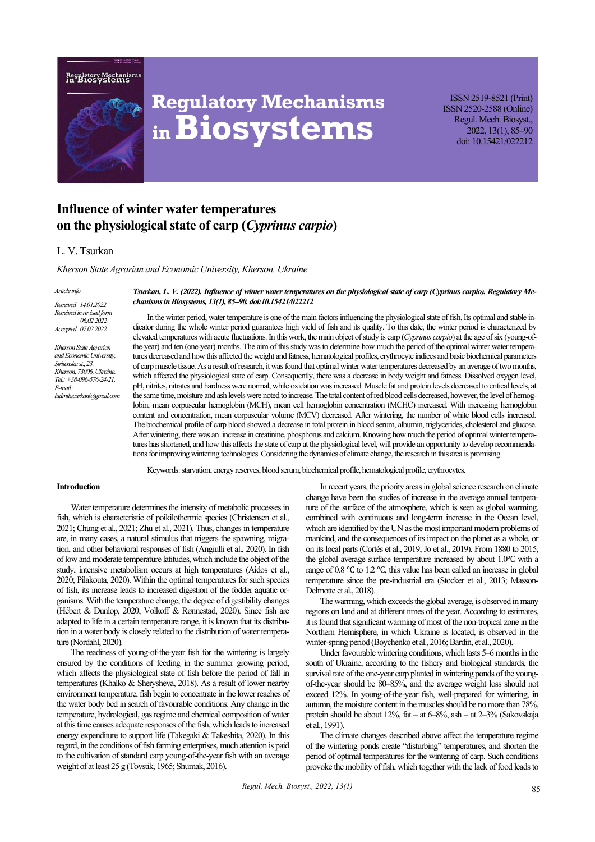



# **Regulatory Mechanisms inBiosystems**

ISSN 2519-8521 (Print) ISSN 2520-2588 (Online) Regul. Mech. Biosyst., 2022, 13(1), 85–90 doi: 10.15421/022212

# **Influence of winter water temperatures on the physiological state of carp (***Cyprinus carpio***)**

# L. V. Tsurkan

*Kherson State Agrarian and Economic University, Kherson, Ukraine* 

#### *Article info*

*Received 14.01.2022 Received in revised form 06.02.2022 Accepted 07.02.2022*

*Kherson State Agrarian and Economic University, Stritenska st., 23, Kherson, 73006, Ukraine. Tel.: +38-096-576-24-21. E-mail: ludmilacurkan@gmail.com* *Tsurkan, L. V. (2022). Influence of winter water temperatures on the physiological state of carp (Cyprinus carpio). Regulatory Mechanisms in Biosystems, 13(1), 85–90. doi:10.15421/022212*

In the winter period, water temperature is one of the main factors influencing the physiological state of fish. Its optimal and stable indicator during the whole winter period guarantees high yield of fish and its quality. To this date, the winter period is characterized by elevated temperatures with acute fluctuations. In this work, the main object of study is carp (*Cyprinus carpio*) at the age of six (young-ofthe-year) and ten (one-year) months. The aim of this study was to determine how much the period of the optimal winter water temperatures decreased and how this affected the weight and fatness, hematological profiles, erythrocyte indices and basic biochemical parameters of carp muscle tissue. As a result of research, it was found that optimal winter water temperatures decreased by an average of two months, which affected the physiological state of carp. Consequently, there was a decrease in body weight and fatness. Dissolved oxygen level, pH, nitrites, nitrates and hardness were normal, while oxidation was increased. Muscle fat and protein levels decreased to critical levels, at the same time, moisture and ash levels were noted to increase. The total content of red blood cells decreased, however, the level of hemoglobin, mean corpuscular hemoglobin (MCH), mean cell hemoglobin concentration (MCHC) increased. With increasing hemoglobin content and concentration, mean corpuscular volume (MCV) decreased. After wintering, the number of white blood cells increased. The biochemical profile of carp blood showed a decrease in total protein in blood serum, albumin, triglycerides, cholesterol and glucose. After wintering, there was an increase in creatinine, phosphorus and calcium. Knowing how much the period of optimal winter temperatures has shortened, and how this affects the state of carp at the physiological level, will provide an opportunity to develop recommendations for improving wintering technologies. Considering the dynamics of climate change, the research in this area is promising.

Keywords: starvation, energy reserves, blood serum, biochemical profile, hematological profile, erythrocytes.

#### **Introduction**

Water temperature determines the intensity of metabolic processes in fish, which is characteristic of poikilothermic species (Christensen et al., 2021; Chung et al., 2021; Zhu et al., 2021). Thus, changes in temperature are, in many cases, a natural stimulus that triggers the spawning, migration, and other behavioral responses of fish (Angiulli et al., 2020). In fish of low and moderate temperature latitudes, which include the object of the study, intensive metabolism occurs at high temperatures (Aidos et al., 2020; Pilakouta, 2020). Within the optimal temperatures for such species of fish, its increase leads to increased digestion of the fodder aquatic organisms. With the temperature change, the degree of digestibility changes (Hébert & Dunlop, 2020; Volkoff & Rønnestad, 2020). Since fish are adapted to life in a certain temperature range, it is known that its distribution in a water body is closely related to the distribution of water temperature (Nordahl, 2020).

The readiness of young-of-the-year fish for the wintering is largely ensured by the conditions of feeding in the summer growing period, which affects the physiological state of fish before the period of fall in temperatures (Khalko & Sherysheva, 2018). As a result of lower nearby environment temperature, fish begin to concentrate in the lower reaches of the water body bed in search of favourable conditions. Any change in the temperature, hydrological, gas regime and chemical composition of water at this time causes adequate responses of the fish, which leads to increased energy expenditure to support life (Takegaki & Takeshita, 2020). In this regard, in the conditions of fish farming enterprises, much attention is paid to the cultivation of standard carp young-of-the-year fish with an average weight of at least 25 g (Tovstik, 1965; Shumak, 2016).

In recent years, the priority areas in global science research on climate change have been the studies of increase in the average annual temperature of the surface of the atmosphere, which is seen as global warming, combined with continuous and long-term increase in the Ocean level, which are identified by the UN as the most important modern problems of mankind, and the consequences of its impact on the planet as a whole, or on its local parts (Cortès et al., 2019; Jo et al., 2019). From 1880 to 2015, the global average surface temperature increased by about 1.0℃ with a range of 0.8 ℃ to 1.2 ℃, this value has been called an increase in global temperature since the pre-industrial era (Stocker et al., 2013; Masson-Delmotte et al., 2018).

The warming, which exceeds the global average, is observed in many regions on land and at different times of the year. According to estimates, it is found that significant warming of most of the non-tropical zone in the Northern Hemisphere, in which Ukraine is located, is observed in the winter-spring period (Boychenko et al., 2016; Bardin, et al., 2020).

Under favourable wintering conditions, which lasts 5–6 months in the south of Ukraine, according to the fishery and biological standards, the survival rate of the one-year carp planted in wintering ponds of the youngof-the-year should be 80–85%, and the average weight loss should not exceed 12%. In young-of-the-year fish, well-prepared for wintering, in autumn, the moisture content in the muscles should be no more than 78%, protein should be about 12%, fat – at 6–8%, ash – at 2–3% (Sakovskaja et al., 1991).

The climate changes described above affect the temperature regime of the wintering ponds create "disturbing" temperatures, and shorten the period of optimal temperatures for the wintering of carp. Such conditions provoke the mobility of fish, which together with the lack of food leads to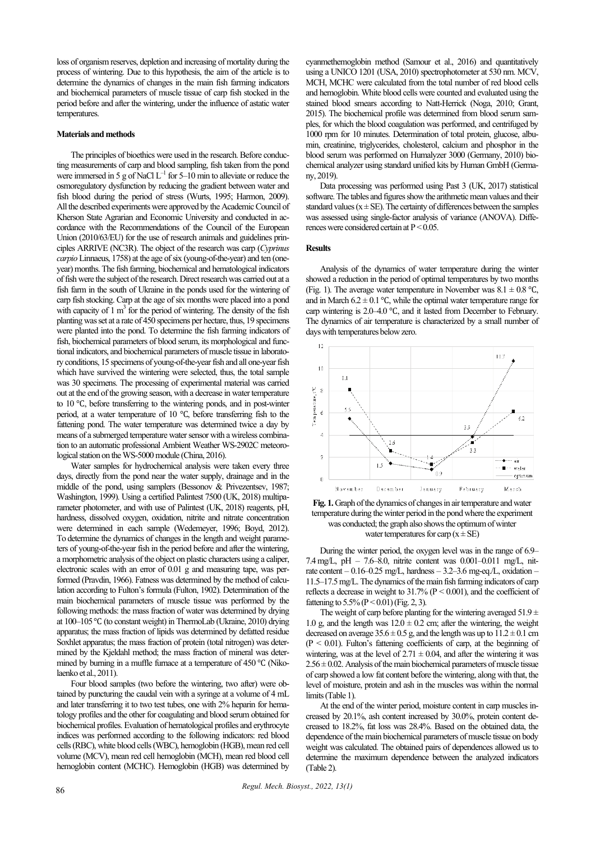loss of organism reserves, depletion and increasing of mortality during the process of wintering. Due to this hypothesis, the aim of the article is to determine the dynamics of changes in the main fish farming indicators and biochemical parameters of muscle tissue of carp fish stocked in the period before and after the wintering, under the influence of astatic water temperatures.

#### **Materials and methods**

The principles of bioethics were used in the research. Before conducting measurements of carp and blood sampling, fish taken from the pond were immersed in 5 g of NaCl  $L^{-1}$  for 5–10 min to alleviate or reduce the osmoregulatory dysfunction by reducing the gradient between water and fish blood during the period of stress (Wurts, 1995; Harmon, 2009). All the described experiments were approved by the Academic Council of Kherson State Agrarian and Economic University and conducted in accordance with the Recommendations of the Council of the European Union (2010/63/EU) for the use of research animals and guidelines principles ARRIVE (NC3R). The object of the research was carp (*Cyprinus carpio* Linnaeus, 1758) at the age of six (young-of-the-year) and ten (oneyear) months. The fish farming, biochemical and hematological indicators of fish were the subject of the research. Direct research was carried out at a fish farm in the south of Ukraine in the ponds used for the wintering of carp fish stocking. Carp at the age of six months were placed into a pond with capacity of  $1 \text{ m}^3$  for the period of wintering. The density of the fish planting was set at a rate of 450 specimens per hectare, thus, 19 specimens were planted into the pond. To determine the fish farming indicators of fish, biochemical parameters of blood serum, its morphological and functional indicators, and biochemical parameters of muscle tissue in laboratory conditions, 15 specimens of young-of-the-year fish and all one-year fish which have survived the wintering were selected, thus, the total sample was 30 specimens. The processing of experimental material was carried out at the end of the growing season, with a decrease in water temperature to 10 ℃, before transferring to the wintering ponds, and in post-winter period, at a water temperature of 10 ℃, before transferring fish to the fattening pond. The water temperature was determined twice a day by means of a submerged temperature water sensor with a wireless combination to an automatic professional Ambient Weather WS-2902C meteorological station on the WS-5000 module (China, 2016).

Water samples for hydrochemical analysis were taken every three days, directly from the pond near the water supply, drainage and in the middle of the pond, using samplers (Bessonov & Privezentsev, 1987; Washington, 1999). Using a certified Palintest 7500 (UK, 2018) multiparameter photometer, and with use of Palintest (UK, 2018) reagents, pH, hardness, dissolved oxygen, oxidation, nitrite and nitrate concentration were determined in each sample (Wedemeyer, 1996; Boyd, 2012). To determine the dynamics of changes in the length and weight parameters of young-of-the-year fish in the period before and after the wintering, a morphometric analysis of the object on plastic characters using a caliper, electronic scales with an error of 0.01 g and measuring tape, was performed (Pravdin, 1966). Fatness was determined by the method of calculation according to Fulton's formula (Fulton, 1902). Determination of the main biochemical parameters of muscle tissue was performed by the following methods: the mass fraction of water was determined by drying at 100–105 ℃ (to constant weight) in ThermoLab (Ukraine, 2010) drying apparatus; the mass fraction of lipids was determined by defatted residue Soxhlet apparatus; the mass fraction of protein (total nitrogen) was determined by the Kjeldahl method; the mass fraction of mineral was determined by burning in a muffle furnace at a temperature of 450 ℃ (Nikolaenko et al., 2011).

Four blood samples (two before the wintering, two after) were obtained by puncturing the caudal vein with a syringe at a volume of 4 mL and later transferring it to two test tubes, one with 2% heparin for hematology profiles and the other for coagulating and blood serum obtained for biochemical profiles. Evaluation of hematological profiles and erythrocyte indices was performed according to the following indicators: red blood cells (RBC), white blood cells (WBC), hemoglobin (HGB), mean red cell volume (MCV), mean red cell hemoglobin (MCH), mean red blood cell hemoglobin content (MCHC). Hemoglobin (HGB) was determined by cyanmethemoglobin method (Samour et al., 2016) and quantitatively using a UNICO 1201 (USA, 2010) spectrophotometer at 530 nm. MCV, MCH, MCHC were calculated from the total number of red blood cells and hemoglobin. White blood cells were counted and evaluated using the stained blood smears according to Natt-Herrick (Noga, 2010; Grant, 2015). The biochemical profile was determined from blood serum samples, for which the blood coagulation was performed, and centrifuged by 1000 rpm for 10 minutes. Determination of total protein, glucose, albumin, creatinine, triglycerides, cholesterol, calcium and phosphor in the blood serum was performed on Humalyzer 3000 (Germany, 2010) biochemical analyzer using standard unified kits by Human GmbH (Germany, 2019).

Data processing was performed using Past 3 (UK, 2017) statistical software. The tables and figures show the arithmetic mean values and their standard values ( $x \pm SE$ ). The certainty of differences between the samples was assessed using single-factor analysis of variance (ANOVA). Differences were considered certain at  $P \le 0.05$ .

#### **Results**

Analysis of the dynamics of water temperature during the winter showed a reduction in the period of optimal temperatures by two months (Fig. 1). The average water temperature in November was  $8.1 \pm 0.8$  °C, and in March 6.2  $\pm$  0.1 °C, while the optimal water temperature range for carp wintering is 2.0–4.0 ℃, and it lasted from December to February. The dynamics of air temperature is characterized by a small number of days with temperatures below zero.



**Fig. 1.** Graph of the dynamics of changes in air temperature and water temperature during the winter period in the pond where the experiment was conducted; the graph also shows the optimum of winter water temperatures for carp  $(x \pm SE)$ 

During the winter period, the oxygen level was in the range of 6.9– 7.4mg/L, pH – 7.6–8.0, nitrite content was 0.001–0.011 mg/L, nitrate content –  $0.16 - 0.25$  mg/L, hardness –  $3.2 - 3.6$  mg-eq./L, oxidation – 11.5–17.5 mg/L.The dynamics of the main fish farming indicators of carp reflects a decrease in weight to  $31.7\%$  (P < 0.001), and the coefficient of fattening to  $5.5\%$  (P < 0.01) (Fig. 2, 3).

The weight of carp before planting for the wintering averaged  $51.9 \pm$ 1.0 g, and the length was  $12.0 \pm 0.2$  cm; after the wintering, the weight decreased on average  $35.6 \pm 0.5$  g, and the length was up to  $11.2 \pm 0.1$  cm  $(P < 0.01)$ . Fulton's fattening coefficients of carp, at the beginning of wintering, was at the level of  $2.71 \pm 0.04$ , and after the wintering it was  $2.56 \pm 0.02$ . Analysis of the main biochemical parameters of muscle tissue of carp showed a low fat content before the wintering, along with that, the level of moisture, protein and ash in the muscles was within the normal limits (Table 1).

At the end of the winter period, moisture content in carp muscles increased by 20.1%, ash content increased by 30.0%, protein content decreased to 18.2%, fat loss was 28.4%. Based on the obtained data, the dependence of the main biochemical parameters of muscle tissue on body weight was calculated. The obtained pairs of dependences allowed us to determine the maximum dependence between the analyzed indicators (Table 2).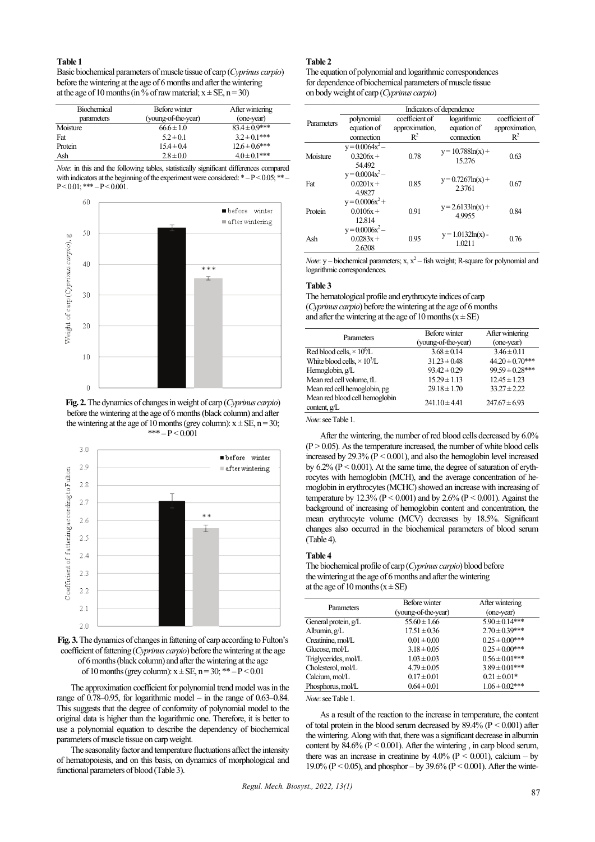# **Table 1**

Basic biochemical parameters of muscle tissue of carp (*Cyprinus carpio*) before the wintering at the age of 6 months and after the wintering at the age of 10 months (in % of raw material;  $x \pm SE$ , n = 30)

| <b>Biochemical</b><br>parameters | Before winter<br>(young-of-the-year) | After wintering<br>(one-year) |
|----------------------------------|--------------------------------------|-------------------------------|
| Moisture                         | $66.6 \pm 1.0$                       | $83.4 \pm 0.9$ ***            |
| Fat                              | $5.2 \pm 0.1$                        | $3.2 \pm 0.1***$              |
| Protein                          | $15.4 \pm 0.4$                       | $12.6 \pm 0.6$ ***            |
| Ash                              | $2.8 \pm 0.0$                        | $4.0 \pm 0.1$ ***             |

*Note*: in this and the following tables, statistically significant differences compared with indicators at the beginning of the experiment were considered:  $* - P \le 0.05$ ; \*\*  $P < 0.01$ ; \*\*\*  $-P < 0.001$ .



**Fig. 2.**The dynamics of changes in weight of carp (*Cyprinus carpio*) before the wintering at the age of 6 months (black column) and after the wintering at the age of 10 months (grey column):  $x \pm SE$ , n = 30; \*\*\*  $-P < 0.001$ 



**Fig. 3.**The dynamics of changes in fattening of carp according to Fulton's coefficient of fattening (*Cyprinus carpio*) before the wintering at the age of 6 months (black column) and after the wintering at the age of 10 months (grey column):  $x \pm SE$ ,  $n = 30$ ; \*\*  $-P < 0.01$ 

The approximation coefficient for polynomial trend model was in the range of 0.78–0.95, for logarithmic model – in the range of 0.63–0.84. This suggests that the degree of conformity of polynomial model to the original data is higher than the logarithmic one. Therefore, it is better to use a polynomial equation to describe the dependency of biochemical parameters of muscle tissue on carp weight.

The seasonality factor and temperature fluctuations affect the intensity of hematopoiesis, and on this basis, on dynamics of morphological and functional parameters of blood (Table 3).

## **Table 2**

The equation of polynomial and logarithmic correspondences for dependence of biochemical parameters of muscle tissue on body weight of carp (*Cyprinus carpio*)

|            | Indicators of dependence                   |                |                                 |                |  |
|------------|--------------------------------------------|----------------|---------------------------------|----------------|--|
| Parameters | polynomial                                 | coefficient of | logarithmic                     | coefficient of |  |
|            | equation of                                | approximation, | equation of                     | approximation, |  |
|            | connection                                 | $R^2$          | connection                      | $R^2$          |  |
| Moisture   | $y = 0.0064x^2 -$<br>$0.3206x +$<br>54.492 | 0.78           | $y = 10.788 \ln(x) +$<br>15.276 | 0.63           |  |
| Fat        | $y = 0.0004x^2 -$<br>$0.0201x +$<br>4.9827 | 0.85           | $y = 0.7267ln(x) +$<br>2.3761   | 0.67           |  |
| Protein    | $y = 0.0006x^2 +$<br>$0.0106x +$<br>12.814 | 0.91           | $y = 2.6133\ln(x) +$<br>49955   | 0.84           |  |
| Ash        | $y = 0.0006x^2 -$<br>$0.0283x +$<br>2.6208 | 0.95           | $y = 1.0132ln(x)$ -<br>1.0211   | 0.76           |  |

*Note*: y – biochemical parameters; x,  $x^2$  – fish weight; R-square for polynomial and logarithmic correspondences.

#### **Table 3**

The hematological profile and erythrocyte indices of carp (*Cyprinus carpio*) before the wintering at the age of 6 months and after the wintering at the age of 10 months ( $x \pm SE$ )

| Parameters                                       | Before winter       | After wintering      |
|--------------------------------------------------|---------------------|----------------------|
|                                                  | (young-of-the-year) | (one-year)           |
| Red blood cells, $\times$ 10 <sup>6</sup> /L     | $3.68 \pm 0.14$     | $3.46 \pm 0.11$      |
| White blood cells, $\times 10^3/L$               | $31.23 \pm 0.48$    | $44.20 \pm 0.70$ *** |
| Hemoglobin, g/L                                  | $93.42 \pm 0.29$    | $99.59 \pm 0.28***$  |
| Mean red cell volume, fL                         | $15.29 \pm 1.13$    | $12.45 \pm 1.23$     |
| Mean red cell hemoglobin, pg                     | $29.18 \pm 1.70$    | $33.27 \pm 2.22$     |
| Mean red blood cell hemoglobin<br>content, $g/L$ | $241.10 \pm 4.41$   | $247.67 \pm 6.93$    |
|                                                  |                     |                      |

*Note*: see Table 1.

After the wintering, the number of red blood cells decreased by 6.0%  $(P > 0.05)$ . As the temperature increased, the number of white blood cells increased by 29.3% ( $\overline{P}$  < 0.001), and also the hemoglobin level increased by  $6.2\%$  ( $P < 0.001$ ). At the same time, the degree of saturation of erythrocytes with hemoglobin (MCH), and the average concentration of hemoglobin in erythrocytes (MCHC) showed an increase with increasing of temperature by 12.3% ( $P < 0.001$ ) and by 2.6% ( $P < 0.001$ ). Against the background of increasing of hemoglobin content and concentration, the mean erythrocyte volume (MCV) decreases by 18.5%. Significant changes also occurred in the biochemical parameters of blood serum (Table 4).

## **Table 4**

The biochemical profile of carp (*Cyprinus carpio*) blood before the wintering at the age of 6 months and after the wintering at the age of 10 months  $(x \pm SE)$ 

| Parameters           | Before winter<br>(young-of-the-year) | After wintering<br>(one-year) |
|----------------------|--------------------------------------|-------------------------------|
| General protein, g/L | $55.60 \pm 1.66$                     | $5.90 \pm 0.14***$            |
| Albumin, $g/L$       | $17.51 \pm 0.36$                     | $2.70 \pm 0.39***$            |
| Creatinine, mol/L    | $0.01 \pm 0.00$                      | $0.25 \pm 0.00***$            |
| Glucose, mol/L       | $3.18 \pm 0.05$                      | $0.25 \pm 0.00$ ***           |
| Triglycerides, mol/L | $1.03 \pm 0.03$                      | $0.56 \pm 0.01***$            |
| Cholesterol, mol/L   | $4.79 \pm 0.05$                      | $3.89 \pm 0.01***$            |
| Calcium, mol/L       | $0.17 \pm 0.01$                      | $0.21 \pm 0.01*$              |
| Phosphorus, mol/L    | $0.64 \pm 0.01$                      | $1.06 \pm 0.02$ ***           |

# *Note*: see Table 1.

As a result of the reaction to the increase in temperature, the content of total protein in the blood serum decreased by  $89.\overline{4}\%$  (P < 0.001) after the wintering. Along with that, there was a significant decrease in albumin content by  $84.6\%$  (P < 0.001). After the wintering, in carp blood serum, there was an increase in creatinine by  $4.0\%$  (P < 0.001), calcium – by 19.0% ( $P < 0.05$ ), and phosphor – by 39.6% ( $P < 0.001$ ). After the winte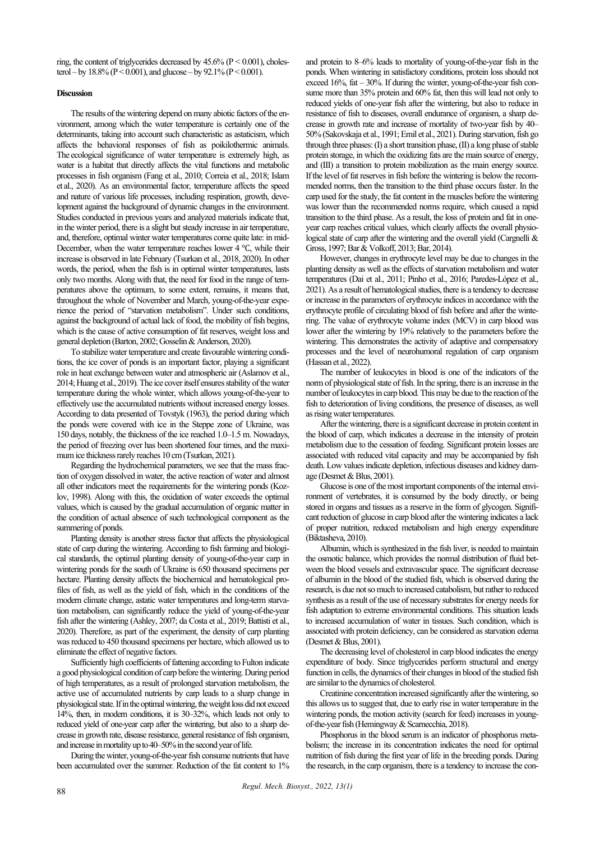ring, the content of triglycerides decreased by  $45.6\%$  ( $P < 0.001$ ), cholesterol – by  $18.8\%$  (P < 0.001), and glucose – by  $92.1\%$  (P < 0.001).

## **Discussion**

The results of the wintering depend on many abiotic factors of the environment, among which the water temperature is certainly one of the determinants, taking into account such characteristic as astaticism, which affects the behavioral responses of fish as poikilothermic animals. The ecological significance of water temperature is extremely high, as water is a habitat that directly affects the vital functions and metabolic processes in fish organism (Fang et al., 2010; Correia et al., 2018; Islam et al., 2020). As an environmental factor, temperature affects the speed and nature of various life processes, including respiration, growth, development against the background of dynamic changes in the environment. Studies conducted in previous years and analyzed materials indicate that, in the winter period, there is a slight but steady increase in air temperature, and, therefore, optimal winter water temperatures come quite late: in mid-December, when the water temperature reaches lower 4 ℃, while their increase is observed in late February (Tsurkan et al., 2018, 2020). In other words, the period, when the fish is in optimal winter temperatures, lasts only two months. Along with that, the need for food in the range of temperatures above the optimum, to some extent, remains, it means that, throughout the whole of November and March, young-of-the-year experience the period of "starvation metabolism". Under such conditions, against the background of actual lack of food, the mobility of fish begins, which is the cause of active consumption of fat reserves, weight loss and general depletion (Barton, 2002; Gosselin & Anderson, 2020).

To stabilize water temperature and create favourable wintering conditions, the ice cover of ponds is an important factor, playing a significant role in heat exchange between water and atmospheric air (Aslamov et al., 2014; Huang et al., 2019). The ice cover itself ensures stability of the water temperature during the whole winter, which allows young-of-the-year to effectively use the accumulated nutrients without increased energy losses. According to data presented of Tovstyk (1963), the period during which the ponds were covered with ice in the Steppe zone of Ukraine, was 150 days, notably, the thickness of the ice reached 1.0–1.5 m. Nowadays, the period of freezing over has been shortened four times, and the maximum ice thickness rarely reaches 10 cm (Tsurkan, 2021).

Regarding the hydrochemical parameters, we see that the mass fraction of oxygen dissolved in water, the active reaction of water and almost all other indicators meet the requirements for the wintering ponds (Kozlov, 1998). Along with this, the oxidation of water exceeds the optimal values, which is caused by the gradual accumulation of organic matter in the condition of actual absence of such technological component as the summering of ponds.

Planting density is another stress factor that affects the physiological state of carp during the wintering. According to fish farming and biological standards, the optimal planting density of young-of-the-year carp in wintering ponds for the south of Ukraine is 650 thousand specimens per hectare. Planting density affects the biochemical and hematological profiles of fish, as well as the yield of fish, which in the conditions of the modern climate change, astatic water temperatures and long-term starvation metabolism, can significantly reduce the yield of young-of-the-year fish after the wintering (Ashley, 2007; da Costa et al., 2019; Battisti et al., 2020). Therefore, as part of the experiment, the density of carp planting was reduced to 450 thousand specimens per hectare, which allowed us to eliminate the effect of negative factors.

Sufficiently high coefficients of fattening according to Fulton indicate a good physiological condition of carp before the wintering. During period of high temperatures, as a result of prolonged starvation metabolism, the active use of accumulated nutrients by carp leads to a sharp change in physiological state. If in the optimal wintering, the weight loss did not exceed 14%, then, in modern conditions, it is 30–32%, which leads not only to reduced yield of one-year carp after the wintering, but also to a sharp decrease in growth rate, disease resistance, general resistance of fish organism, and increase in mortality up to 40–50% in the second year of life.

During the winter, young-of-the-year fish consume nutrients that have been accumulated over the summer. Reduction of the fat content to 1% and protein to 8–6% leads to mortality of young-of-the-year fish in the ponds. When wintering in satisfactory conditions, protein loss should not exceed  $16\%$ , fat  $-30\%$ . If during the winter, young-of-the-year fish consume more than 35% protein and 60% fat, then this will lead not only to reduced yields of one-year fish after the wintering, but also to reduce in resistance of fish to diseases, overall endurance of organism, a sharp decrease in growth rate and increase of mortality of two-year fish by 40– 50% (Sakovskaja et al., 1991; Emil et al., 2021). During starvation, fish go through three phases: (I) a short transition phase, (II) a long phase of stable protein storage, in which the oxidizing fats are the main source of energy, and (III) a transition to protein mobilization as the main energy source. If the level of fat reserves in fish before the wintering is below the recommended norms, then the transition to the third phase occurs faster. In the carp used for the study, the fat content in the muscles before the wintering was lower than the recommended norms require, which caused a rapid transition to the third phase. As a result, the loss of protein and fat in oneyear carp reaches critical values, which clearly affects the overall physiological state of carp after the wintering and the overall yield (Cargnelli & Gross, 1997; Bar & Volkoff, 2013; Bar, 2014).

However, changes in erythrocyte level may be due to changes in the planting density as well as the effects of starvation metabolism and water temperatures (Dai et al., 2011; Pinho et al., 2016; Paredes-López et al., 2021). As a result of hematological studies, there is a tendency to decrease or increase in the parameters of erythrocyte indices in accordance with the erythrocyte profile of circulating blood of fish before and after the wintering. The value of erythrocyte volume index (MCV) in carp blood was lower after the wintering by 19% relatively to the parameters before the wintering. This demonstrates the activity of adaptive and compensatory processes and the level of neurohumoral regulation of carp organism (Hassan et al., 2022).

The number of leukocytes in blood is one of the indicators of the norm of physiological state of fish. In the spring, there is an increase in the number of leukocytes in carp blood. This may be due to the reaction of the fish to deterioration of living conditions, the presence of diseases, as well as rising water temperatures.

After the wintering, there is a significant decrease in protein content in the blood of carp, which indicates a decrease in the intensity of protein metabolism due to the cessation of feeding. Significant protein losses are associated with reduced vital capacity and may be accompanied by fish death. Low values indicate depletion, infectious diseases and kidney damage (Desmet & Blus, 2001).

Glucose is one of the most important components of the internal environment of vertebrates, it is consumed by the body directly, or being stored in organs and tissues as a reserve in the form of glycogen. Significant reduction of glucose in carp blood after the wintering indicates a lack of proper nutrition, reduced metabolism and high energy expenditure (Biktasheva, 2010).

Albumin, which is synthesized in the fish liver, is needed to maintain the osmotic balance, which provides the normal distribution of fluid between the blood vessels and extravascular space. The significant decrease of albumin in the blood of the studied fish, which is observed during the research, is due not so much to increased catabolism, but rather to reduced synthesis as a result of the use of necessary substrates for energy needs for fish adaptation to extreme environmental conditions. This situation leads to increased accumulation of water in tissues. Such condition, which is associated with protein deficiency, can be considered as starvation edema (Desmet & Blus, 2001).

The decreasing level of cholesterol in carp blood indicates the energy expenditure of body. Since triglycerides perform structural and energy function in cells, the dynamics of their changes in blood of the studied fish are similar to the dynamics of cholesterol.

Creatinine concentration increased significantly after the wintering, so this allows us to suggest that, due to early rise in water temperature in the wintering ponds, the motion activity (search for feed) increases in youngof-the-year fish (Hemingway & Scarnecchia, 2018).

Phosphorus in the blood serum is an indicator of phosphorus metabolism; the increase in its concentration indicates the need for optimal nutrition of fish during the first year of life in the breeding ponds. During the research, in the carp organism, there is a tendency to increase the con-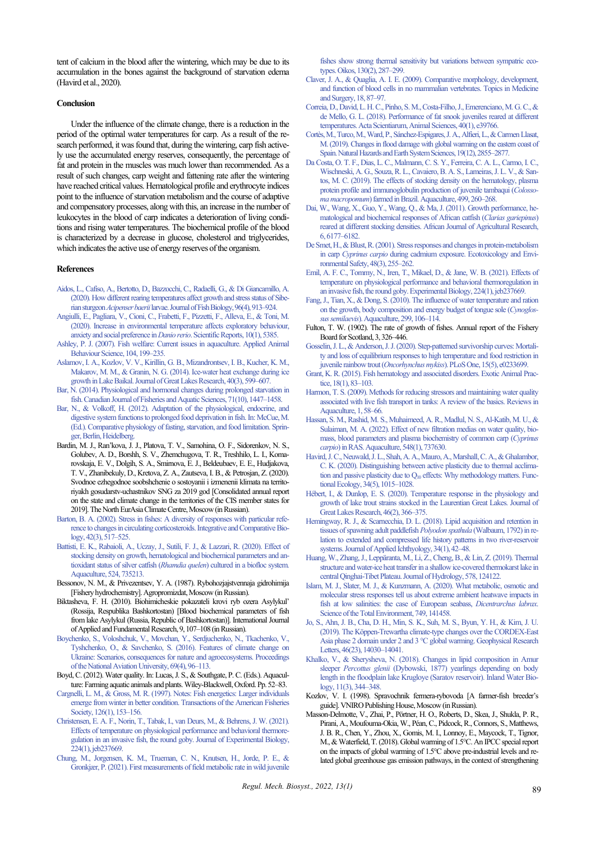tent of calcium in the blood after the wintering, which may be due to its accumulation in the bones against the background of starvation edema (Havird et al., 2020).

#### **Conclusion**

Under the influence of the climate change, there is a reduction in the period of the optimal water temperatures for carp. As a result of the research performed, it was found that, during the wintering, carp fish actively use the accumulated energy reserves, consequently, the percentage of fat and protein in the muscles was much lower than recommended. As a result of such changes, carp weight and fattening rate after the wintering have reached critical values. Hematological profile and erythrocyte indices point to the influence of starvation metabolism and the course of adaptive and compensatory processes, along with this, an increase in the number of leukocytes in the blood of carp indicates a deterioration of living conditions and rising water temperatures. The biochemical profile of the blood is characterized by a decrease in glucose, cholesterol and triglycerides, which indicates the active use of energy reserves of the organism.

#### **References**

- [Aidos, L., Cafiso, A., Bertotto, D., Bazzocchi, C., Radaelli, G., & Di Giancamillo, A.](http://doi.org/10.1111/jfb.14280)  [\(2020\). How different rearing temperatures affect growth and stress status of Sibe](http://doi.org/10.1111/jfb.14280)rian sturgeon *Acipenser baerii*[larvae. Journal of Fish Biology, 96\(4\), 913–924.](http://doi.org/10.1111/jfb.14280)
- [Angiulli, E., Pagliara, V., Cioni, C., Frabetti, F., Pizzetti, F., Alleva, E., & Toni, M.](http://doi.org/10.1038/s41598-020-62331-1)  [\(2020\). Increase in environmental temperature affects exploratory behaviour,](http://doi.org/10.1038/s41598-020-62331-1)  anxiety and social preference in *Danio rerio*[. Scientific Reports, 10\(1\), 5385.](http://doi.org/10.1038/s41598-020-62331-1)
- [Ashley, P. J. \(2007\). Fish welfare: Current issues in aquaculture. Applied Animal](http://doi.org/10.1016/j.applanim.2006.09.001)  [Behaviour Science, 104, 199–235.](http://doi.org/10.1016/j.applanim.2006.09.001)
- [Aslamov, I. A., Kozlov, V. V., Kirillin, G. B., Mizandrontsev, I. B., Kucher, K. M.,](http://doi.org/10.1016/j.jglr.2014.06.004)  [Makarov, M. M., & Granin, N. G. \(2014\). Ice-water heat exchange during ice](http://doi.org/10.1016/j.jglr.2014.06.004)  [growth in Lake Baikal. Journal of Great Lakes Research, 40\(3\), 599–607.](http://doi.org/10.1016/j.jglr.2014.06.004)
- [Bar, N. \(2014\). Physiological and hormonal changes during prolonged starvation in](http://doi.org/10.1139/cjfas-2013-0175)  fish. Canadian Journal of Fisheries and Aquatic Sciences, 71(10), 1447-1458.
- [Bar, N., & Volkoff, H. \(2012\). Adaptation of the physiological, endocrine, and](http://doi.org/10.1007/978-3-642-29056-5_6)  [digestive system functions to prolonged food deprivation in fish. In: McCue, M.](http://doi.org/10.1007/978-3-642-29056-5_6)  [\(Ed.\). Comparative physiology of fasting, starvation, and food limitation. Sprin](http://doi.org/10.1007/978-3-642-29056-5_6)oer Berlin, Heidelberg.
- Bardin, M. J., Ran'kova, J. J., Platova, T. V., Samohina, O. F., Sidorenkov, N. S., Golubev, A. D., Borshh, S. V., Zhemchugova, T. R., Treshhilo, L. I., Komarovskaja, E. V., Dolgih, S. A., Smirnova, E. J., Beldeubaev, E. E., Hudjakova, T. V., Zhanibekuly, D., Kretova, Z. A., Zautseva, I. B., & Petrosjan, Z. (2020). Svodnoe ezhegodnoe soobshchenie o sostoyanii i izmenenii klimata na territoriyakh gosudarstv-uchastnikov SNG za 2019 god [Consolidated annual report on the state and climate change in the territories of the CIS member states for 2019]. The North EurAsia Climate Centre, Moscow (in Russian).
- [Barton, B. A. \(2002\). Stress in fishes: A diversity of responses with particular refe](http://doi.org/10.1093/icb/42.3.517)[rence to changes in circulating corticosteroids. Integrative and Comparative Bio](http://doi.org/10.1093/icb/42.3.517)[logy, 42\(3\), 517–525.](http://doi.org/10.1093/icb/42.3.517)
- [Battisti, E. K., Rabaioli, A., Uczay, J., Sutili, F. J., & Lazzari, R. \(2020\). Effect of](http://doi.org/10.1016/j.aquaculture.2020.735213)  [stocking density on growth, hematological and biochemical parameters and an](http://doi.org/10.1016/j.aquaculture.2020.735213)[tioxidant status of silver catfish \(](http://doi.org/10.1016/j.aquaculture.2020.735213)*Rhamdia quelen*) cultured in a biofloc system. [Aquaculture, 524, 735213.](http://doi.org/10.1016/j.aquaculture.2020.735213)
- Bessonov, N. M., & Privezentsev, Y. A. (1987). Rybohozjajstvennaja gidrohimija [Fishery hydrochemistry]. Agropromizdat, Moscow (in Russian).
- Biktasheva, F. H. (2010). Biohimicheskie pokazateli krovi ryb ozera Аsylykul' (Rossija, Respublika Bashkortostan) [Blood biochemical parameters of fish from lake Asylykul (Russia, Republic of Bashkortostan)]. International Journal of Applied and Fundamental Research, 9, 107–108 (in Russian).
- [Boychenko, S., Voloshchuk, V., Movchan, Y., Serdjuchenko, N., Tkachenko, V.,](http://doi.org/10.18372/2306-1472.69.11061)  [Tyshchenko, O., & Savchenko, S. \(2016\). Features of climate change on](http://doi.org/10.18372/2306-1472.69.11061)  [Ukraine: Scenarios, consequences for nature and agroecosystems. Proceedings](http://doi.org/10.18372/2306-1472.69.11061)  [of the National Aviation University, 69\(4\), 96–113.](http://doi.org/10.18372/2306-1472.69.11061)
- Boyd, C. (2012). Water quality. In: Lucas, J. S., & Southgate, P. C. (Eds.). Aquaculture: Farming aquatic animals and plants. Wiley-Blackwell, Oxford. Pp. 52–83.
- [Cargnelli, L. M., & Gross, M. R. \(1997\). Notes: Fish energetics: Larger individuals](http://doi.org/10.1577/1548-8659(1997)126%3c0153:NFELIE%3e2.3.CO;2)  [emerge from winter in better condition. Transactions of the American Fisheries](http://doi.org/10.1577/1548-8659(1997)126%3c0153:NFELIE%3e2.3.CO;2)  Society, 126(1), 153-156.
- [Christensen, E. A. F., Norin, T., Tabak, I., van Deurs, M., & Behrens, J. W. \(2021\).](http://doi.org/10.1242/jeb.237669)  [Effects of temperature on physiological performance and behavioral thermore](http://doi.org/10.1242/jeb.237669)[gulation in an invasive fish, the round goby. Journal of Experimental Biology,](http://doi.org/10.1242/jeb.237669)  [224\(1\), jeb237669.](http://doi.org/10.1242/jeb.237669)
- [Chung, M., Jorgensen, K. M., Trueman, C. N., Knutsen, H., Jorde, P. E., &](http://doi.org/10.1111/oik.07647)  [Gronkjær, P. \(2021\). First measurements of field](http://doi.org/10.1111/oik.07647) metabolic rate in wild juvenile

[fishes show strong thermal sensitivity but variations between sympatric eco](http://doi.org/10.1111/oik.07647)[types. Oikos, 130\(2\), 287–299.](http://doi.org/10.1111/oik.07647) 

- [Claver, J. A., & Quaglia, A. I. E. \(2009\). Comparative morphology, development,](http://doi.org/10.1053/j.jepm.2009.04.006)  [and function of blood cells in no mammalian vertebrates. Topics in Medicine](http://doi.org/10.1053/j.jepm.2009.04.006)  [and Surgery, 18, 87–97.](http://doi.org/10.1053/j.jepm.2009.04.006)
- [Correia, D., David, L. H. C., Pinho, S. M., Costa-Filho, J., Emerenciano, M. G. C., &](http://doi.org/10.4025/actascianimsci.v40i1.39766)  [de Mello, G. L. \(2018\). Performance of fat snook juveniles reared at different](http://doi.org/10.4025/actascianimsci.v40i1.39766)  [temperatures. Acta Scientiarum, Animal Sciences, 40\(1\), e39766.](http://doi.org/10.4025/actascianimsci.v40i1.39766)
- [Cortès, M., Turco, M., Ward, P., Sánchez-Espigares, J. A., Alfieri, L., & Carmen Llasat,](http://doi.org/10.5194/nhess-19-2855-2019)  [M. \(2019\). Changes in flood damage with global warming on the eastern coast of](http://doi.org/10.5194/nhess-19-2855-2019)  [Spain. Natural Hazards and Earth System Sciences, 19\(12\), 2855–2877.](http://doi.org/10.5194/nhess-19-2855-2019)
- [Da Costa, O. T. F., Dias, L. C., Malmann, C. S. Y., Ferreira, C. A. L., Carmo, I. C.,](http://doi.org/10.1016/j.aquaculture.2018.09.040)  [Wischneski, A. G., Souza, R. L., Cavaiero, B. A. S., Lameiras, J. L. V., & San](http://doi.org/10.1016/j.aquaculture.2018.09.040)[tos, M. C. \(2019\). The effects of stocking density on the hematology, plasma](http://doi.org/10.1016/j.aquaculture.2018.09.040)  [protein profile and immunoglobulin production of juvenile tambaqui \(](http://doi.org/10.1016/j.aquaculture.2018.09.040)*Colossoma macropomum*[\) farmed in Brazil. Aquaculture, 499, 260–268.](http://doi.org/10.1016/j.aquaculture.2018.09.040)
- [Dai, W., Wang, X., Guo, Y., Wang, Q., & Ma, J. \(2011\). Growth performance, he](http://doi.org/10.5897/AJAR11.1278)[matological and biochemical responses of African catfish \(](http://doi.org/10.5897/AJAR11.1278)*Clarias gariepinus*) [reared at different stocking densities. African Journal of Agricultural Research,](http://doi.org/10.5897/AJAR11.1278)  [6, 6177–6182.](http://doi.org/10.5897/AJAR11.1278)
- [De Smet, H., & Blust, R. \(2001\). Stress responses and changes in protein-metabolism](http://doi.org/10.1006/eesa.2000.2011)  in carp *Cyprinus carpio* [during cadmium exposure. Ecotoxicology and Envi](http://doi.org/10.1006/eesa.2000.2011)[ronmental Safety, 48\(3\), 255–262.](http://doi.org/10.1006/eesa.2000.2011)
- [Emil, A. F. C., Tommy, N., Iren, T., Mikael, D., & Jane, W. B. \(2021\). Effects of](http://doi.org/10.1242/jeb.237669)  [temperature on physiological performance and behavioral thermoregulation in](http://doi.org/10.1242/jeb.237669)  [an invasive fish, the round goby. Experimental Biology, 224\(1\), jeb237669.](http://doi.org/10.1242/jeb.237669)
- [Fang, J., Tian, X., & Dong, S. \(2010\). The influence of water temperature and ration](http://doi.org/10.1016/j.aquaculture.2009.11.026)  [on the growth, body composition and energy budget of tongue sole \(](http://doi.org/10.1016/j.aquaculture.2009.11.026)*Cynoglossus semilaevis*[\). Aquaculture, 299, 106–114.](http://doi.org/10.1016/j.aquaculture.2009.11.026)
- Fulton, T. W. (1902). The rate of growth of fishes. Annual report of the Fishery Board for Scotland, 3, 326–446.
- [Gosselin, J. L., & Anderson, J. J. \(2020\). Step-patterned survivorship curves: Mortali](http://doi.org/10.1371/journal.pone.0233699)[ty and loss of equilibrium responses to high temperature and food restriction in](http://doi.org/10.1371/journal.pone.0233699)  juvenile rainbow trout (*Oncorhynchus mykiss*[\). PLoS One, 15\(5\), e0233699.](http://doi.org/10.1371/journal.pone.0233699)
- [Grant, K. R. \(2015\). Fish hematology and associated disorders. Exotic Animal Prac](http://doi.org/10.1016/j.cvex.2014.09.007)[tice, 18\(1\), 83–103.](http://doi.org/10.1016/j.cvex.2014.09.007)
- [Harmon, T. S. \(2009\). Methods for reducing stressors and maintaining water quality](http://doi.org/10.1111/j.1753-5131.2008.01003.x)  [associated with live fish transport in tanks: A review of the basics. Reviews in](http://doi.org/10.1111/j.1753-5131.2008.01003.x)  [Aquaculture, 1, 58–66.](http://doi.org/10.1111/j.1753-5131.2008.01003.x)
- [Hassan, S. M., Rashid, M. S., Muhaimeed, A. R., Madlul, N. S., Al-Katib, M. U., &](http://doi.org/10.1016/j.aquaculture.2021.737630)  [Sulaiman, M. A. \(2022\). Effect of new filtration medias on water quality, bio](http://doi.org/10.1016/j.aquaculture.2021.737630)[mass, blood parameters and plasma biochemistry of common carp \(](http://doi.org/10.1016/j.aquaculture.2021.737630)*Cyprinus carpio*[\) in RAS. Aquaculture, 548\(1\), 737630.](http://doi.org/10.1016/j.aquaculture.2021.737630)
- [Havird, J. C., Neuwald, J. L., Shah, A. A., Mauro, A., Marshall, C. A., & Ghalambor,](http://doi.org/10.1111/1365-2435.13534)  [C. K. \(2020\). Distinguishing between active plasticity due to thermal acclima](http://doi.org/10.1111/1365-2435.13534)tion and passive plasticity due to  $Q_{10}$  [effects: Why methodology matters. Func](http://doi.org/10.1111/1365-2435.13534)[tional Ecology, 34\(5\), 1015–1028.](http://doi.org/10.1111/1365-2435.13534)
- [Hébert, I., & Dunlop, E. S. \(2020\). Temperature response in the physiology and](http://doi.org/10.1016/j.jglr.2020.01.012)  [growth of lake trout strains stocked in the Laurentian Great Lakes. Journal of](http://doi.org/10.1016/j.jglr.2020.01.012)  [Great Lakes Research, 46\(2\), 366–375.](http://doi.org/10.1016/j.jglr.2020.01.012)
- [Hemingway, R. J., & Scarnecchia, D. L. \(2018\). Lipid acquisition and retention in](http://doi.org/10.1111/jai.13580)  [tissues of spawning adult paddlefish](http://doi.org/10.1111/jai.13580) *Polyodon spathula* (Walbaum, 1792) in re[lation to extended and compressed life history patterns in two river-reservoir](http://doi.org/10.1111/jai.13580)  [systems. Journal of Applied Ichthyology, 34\(1\), 42–48.](http://doi.org/10.1111/jai.13580)
- [Huang, W., Zhang, J., Leppäranta, M., Li, Z., Cheng, B., & Lin, Z. \(2019\). Thermal](http://doi.org/10.1016/j.jhydrol.2019.124122)  [structure and water-ice heat transfer in a shallow ice-covered thermokarst lake in](http://doi.org/10.1016/j.jhydrol.2019.124122)  [central Qinghai-Tibet Plateau. Journal of Hydrology, 578, 124122.](http://doi.org/10.1016/j.jhydrol.2019.124122)
- [Islam, M. J., Slater, M. J., & Kunzmann, A. \(2020\). What metabolic, osmotic and](http://doi.org/10.1016/j.scitotenv.2020.141458)  [molecular stress responses tell us about extreme ambient heatwave impacts in](http://doi.org/10.1016/j.scitotenv.2020.141458)  [fish at low salinities: the case of European seabass,](http://doi.org/10.1016/j.scitotenv.2020.141458) *Dicentrarchus labrax*. [Science of the Total Environment, 749, 141458.](http://doi.org/10.1016/j.scitotenv.2020.141458)
- [Jo, S., Ahn, J. B., Cha, D. H., Min, S. K., Suh, M. S., Byun, Y. H., & Kim, J. U.](http://doi.org/10.1029/2019GL085452)  [\(2019\). The Köppen-Trewartha climate-type changes over the CORDEX-East](http://doi.org/10.1029/2019GL085452)  [Asia phase 2 domain under 2 and 3 °C global warming. Geophysical Research](http://doi.org/10.1029/2019GL085452)  [Letters, 46\(23\), 14030–14041.](http://doi.org/10.1029/2019GL085452)
- [Khalko, V., & Sherysheva, N. \(2018\). Changes in lipid composition in Amur](http://doi.org/10.1134/S1995082918030045)  sleeper *Percottus glenii* [\(Dybowski, 1877\) yearlings depending on body](http://doi.org/10.1134/S1995082918030045)  [length in the floodplain lake Krugloye \(Saratov reservoir\). Inland Water Bio](http://doi.org/10.1134/S1995082918030045)[logy, 11\(3\), 344–348.](http://doi.org/10.1134/S1995082918030045)
- Kozlov, V. I. (1998). Spravochnik fermera-rybovoda [A farmer-fish breeder's guide]. VNIRO Publishing House, Moscow (in Russian).
- Masson-Delmotte, V., Zhai, P., Pörtner, H. O., Roberts, D., Skea, J., Shukla, P. R., Pirani, A., Moufouma-Okia, W., Péan, C., Pidcock, R., Connors, S., Matthews, J. B. R., Chen, Y., Zhou, X., Gomis, M. I., Lonnoy, E., Maycock, T., Tignor, M., & Waterfield, T. (2018). Global warming of 1.5°C. An IPCC special report on the impacts of global warming of 1.5°C above pre-industrial levels and related global greenhouse gas emission pathways, in the context of strengthening